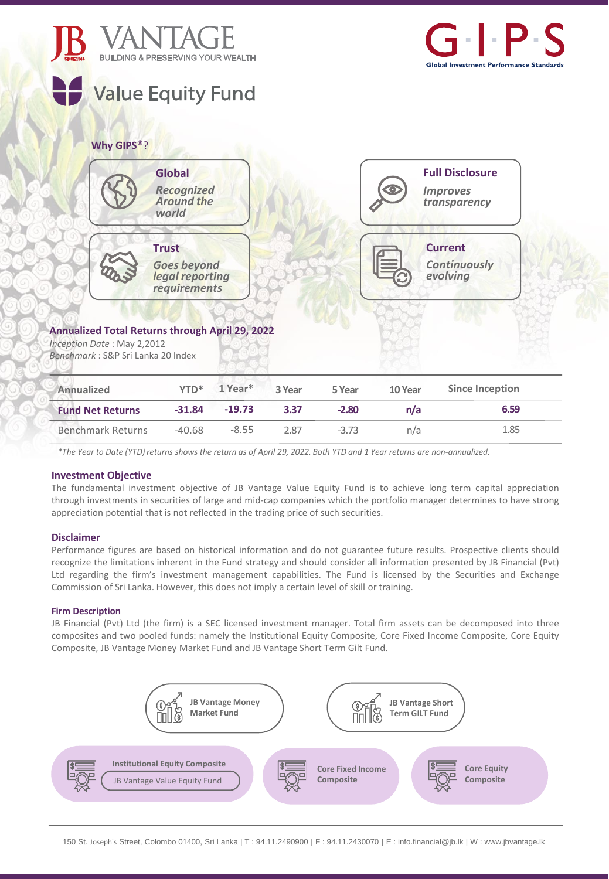



# **Why GIPS**®?

| <b>Global</b><br><b>Recognized</b><br><b>Around the</b><br>world               | <b>Full Disclosure</b><br>↔<br><b>Improves</b><br>transparency |
|--------------------------------------------------------------------------------|----------------------------------------------------------------|
| <b>Trust</b><br><b>Goes beyond<br/> legal reporting</b><br><i>requirements</i> | <b>Current</b><br>Continuously<br>evolving                     |

# **Annualized Total Returns through April 29, 2022**

*Inception Date* : May 2,2012 *Benchmark* : S&P Sri Lanka 20 Index

| Annualized               | $YTD^*$  | 1 Year*  | 3 Year | 5 Year  | 10 Year | <b>Since Inception</b> |
|--------------------------|----------|----------|--------|---------|---------|------------------------|
| <b>Fund Net Returns</b>  | $-31.84$ | $-19.73$ | 3.37   | $-2.80$ | n/a     | 6.59                   |
| <b>Benchmark Returns</b> | $-40.68$ | $-8.55$  | 2.87   | $-3.73$ | n/a     | 1.85                   |

\*The Year to Date (YTD) returns shows the return as of April 29, 2022. Both YTD and 1 Year returns are non-annualized.

## **Investment Objective**

The fundamental investment objective of JB Vantage Value Equity Fund is to achieve long term capital appreciation through investments in securities of large and mid-cap companies which the portfolio manager determines to have strong appreciation potential that is not reflected in the trading price of such securities.

## **Disclaimer**

Performance figures are based on historical information and do not guarantee future results. Prospective clients should recognize the limitations inherent in the Fund strategy and should consider all information presented by JB Financial (Pvt) Ltd regarding the firm's investment management capabilities. The Fund is licensed by the Securities and Exchange Commission of Sri Lanka. However, this does not imply a certain level of skill or training.

## **Firm Description**

JB Financial (Pvt) Ltd (the firm) is a SEC licensed investment manager. Total firm assets can be decomposed into three composites and two pooled funds: namely the Institutional Equity Composite, Core Fixed Income Composite, Core Equity Composite, JB Vantage Money Market Fund and JB Vantage Short Term Gilt Fund.